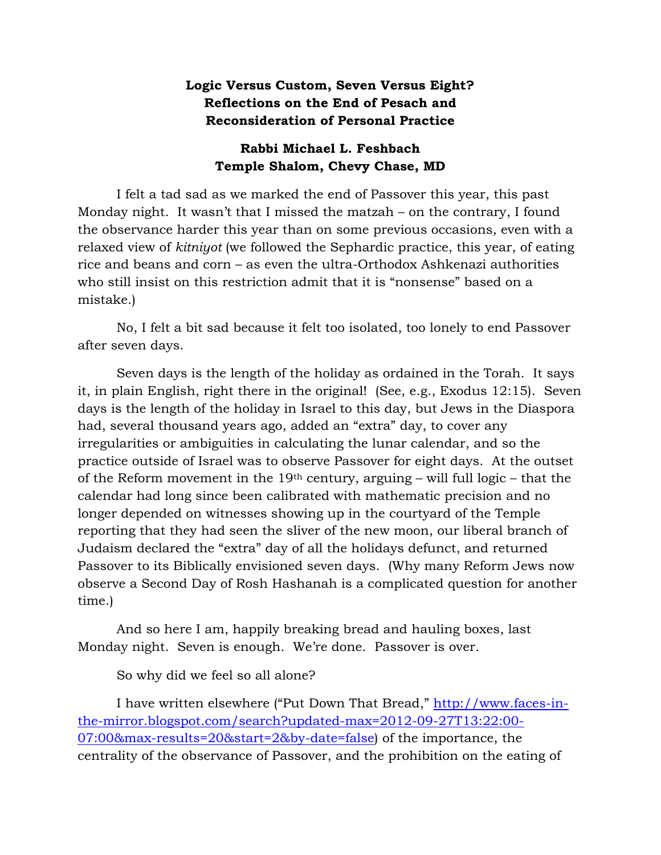## **Logic Versus Custom, Seven Versus Eight? Reflections on the End of Pesach and Reconsideration of Personal Practice**

## **Rabbi Michael L. Feshbach Temple Shalom, Chevy Chase, MD**

I felt a tad sad as we marked the end of Passover this year, this past Monday night. It wasn't that I missed the matzah – on the contrary, I found the observance harder this year than on some previous occasions, even with a relaxed view of *kitniyot* (we followed the Sephardic practice, this year, of eating rice and beans and corn – as even the ultra-Orthodox Ashkenazi authorities who still insist on this restriction admit that it is "nonsense" based on a mistake.)

No, I felt a bit sad because it felt too isolated, too lonely to end Passover after seven days.

Seven days is the length of the holiday as ordained in the Torah. It says it, in plain English, right there in the original! (See, e.g., Exodus 12:15). Seven days is the length of the holiday in Israel to this day, but Jews in the Diaspora had, several thousand years ago, added an "extra" day, to cover any irregularities or ambiguities in calculating the lunar calendar, and so the practice outside of Israel was to observe Passover for eight days. At the outset of the Reform movement in the 19<sup>th</sup> century, arguing – will full logic – that the calendar had long since been calibrated with mathematic precision and no longer depended on witnesses showing up in the courtyard of the Temple reporting that they had seen the sliver of the new moon, our liberal branch of Judaism declared the "extra" day of all the holidays defunct, and returned Passover to its Biblically envisioned seven days. (Why many Reform Jews now observe a Second Day of Rosh Hashanah is a complicated question for another time.)

And so here I am, happily breaking bread and hauling boxes, last Monday night. Seven is enough. We're done. Passover is over.

So why did we feel so all alone?

I have written elsewhere ("Put Down That Bread," [http://www.faces-in](http://www.faces-in-the-mirror.blogspot.com/search?updated-max=2012-09-27T13:22:00-07:00&max-results=20&start=2&by-date=false)[the-mirror.blogspot.com/search?updated-max=2012-09-27T13:22:00-](http://www.faces-in-the-mirror.blogspot.com/search?updated-max=2012-09-27T13:22:00-07:00&max-results=20&start=2&by-date=false) [07:00&max-results=20&start=2&by-date=false\)](http://www.faces-in-the-mirror.blogspot.com/search?updated-max=2012-09-27T13:22:00-07:00&max-results=20&start=2&by-date=false) of the importance, the centrality of the observance of Passover, and the prohibition on the eating of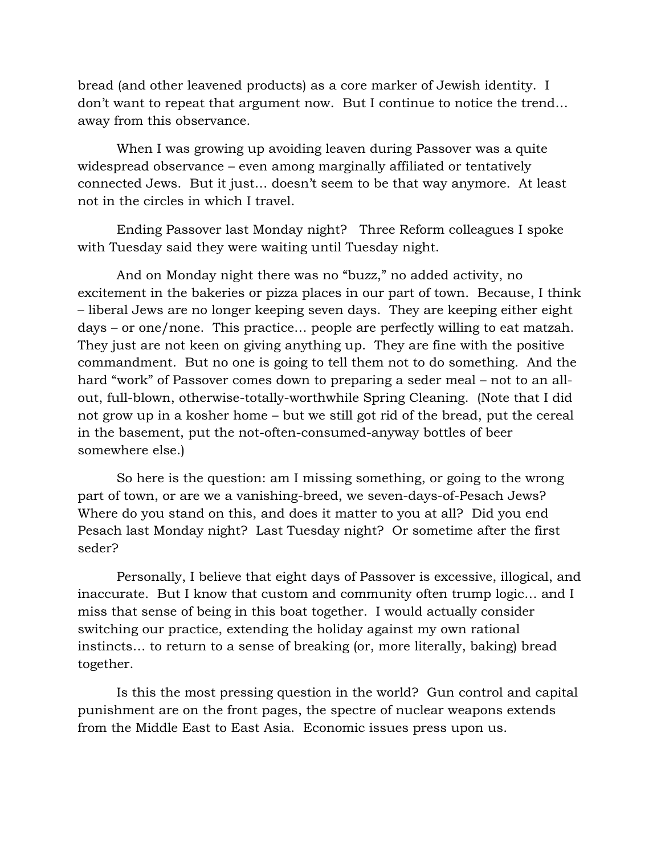bread (and other leavened products) as a core marker of Jewish identity. I don't want to repeat that argument now. But I continue to notice the trend… away from this observance.

When I was growing up avoiding leaven during Passover was a quite widespread observance – even among marginally affiliated or tentatively connected Jews. But it just… doesn't seem to be that way anymore. At least not in the circles in which I travel.

Ending Passover last Monday night? Three Reform colleagues I spoke with Tuesday said they were waiting until Tuesday night.

And on Monday night there was no "buzz," no added activity, no excitement in the bakeries or pizza places in our part of town. Because, I think – liberal Jews are no longer keeping seven days. They are keeping either eight days – or one/none. This practice… people are perfectly willing to eat matzah. They just are not keen on giving anything up. They are fine with the positive commandment. But no one is going to tell them not to do something. And the hard "work" of Passover comes down to preparing a seder meal – not to an allout, full-blown, otherwise-totally-worthwhile Spring Cleaning. (Note that I did not grow up in a kosher home – but we still got rid of the bread, put the cereal in the basement, put the not-often-consumed-anyway bottles of beer somewhere else.)

So here is the question: am I missing something, or going to the wrong part of town, or are we a vanishing-breed, we seven-days-of-Pesach Jews? Where do you stand on this, and does it matter to you at all? Did you end Pesach last Monday night? Last Tuesday night? Or sometime after the first seder?

Personally, I believe that eight days of Passover is excessive, illogical, and inaccurate. But I know that custom and community often trump logic… and I miss that sense of being in this boat together. I would actually consider switching our practice, extending the holiday against my own rational instincts… to return to a sense of breaking (or, more literally, baking) bread together.

Is this the most pressing question in the world? Gun control and capital punishment are on the front pages, the spectre of nuclear weapons extends from the Middle East to East Asia. Economic issues press upon us.